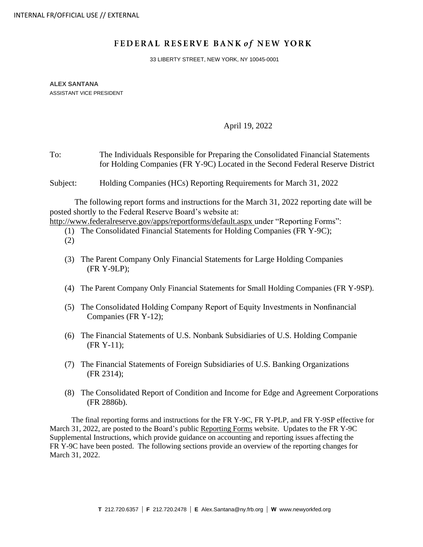# FEDERAL RESERVE BANK of NEW YORK

33 LIBERTY STREET, NEW YORK, NY 10045-0001

**ALEX SANTANA** ASSISTANT VICE PRESIDENT

#### April 19, 2022

To: The Individuals Responsible for Preparing the Consolidated Financial Statements for Holding Companies (FR Y-9C) Located in the Second Federal Reserve District

Subject: Holding Companies (HCs) Reporting Requirements for March 31, 2022

The following report forms and instructions for the March 31, 2022 reporting date will be posted shortly to the Federal Reserve Board's website at:

<http://www.federalreserve.gov/apps/reportforms/default.aspx> under "Reporting Forms":

(1) The Consolidated Financial Statements for Holding Companies (FR Y-9C);

- (3) The Parent Company Only Financial Statements for Large Holding Companies (FR Y-9LP);
- (4) The Parent Company Only Financial Statements for Small Holding Companies (FR Y-9SP).
- (5) The Consolidated Holding Company Report of Equity Investments in Nonfinancial Companies (FR Y-12);
- (6) The Financial Statements of U.S. Nonbank Subsidiaries of U.S. Holding Companie (FR Y-11);
- (7) The Financial Statements of Foreign Subsidiaries of U.S. Banking Organizations (FR 2314);
- (8) The Consolidated Report of Condition and Income for Edge and Agreement Corporations (FR 2886b).

The final reporting forms and instructions for the FR Y-9C, FR Y-PLP, and FR Y-9SP effective for March 31, 2022, are posted to the Board's public [Reporting Forms](https://www.federalreserve.gov/apps/reportforms/default.aspx) website. Updates to the FR Y-9C Supplemental Instructions, which provide guidance on accounting and reporting issues affecting the FR Y-9C have been posted. The following sections provide an overview of the reporting changes for March 31, 2022.

<sup>(2)</sup>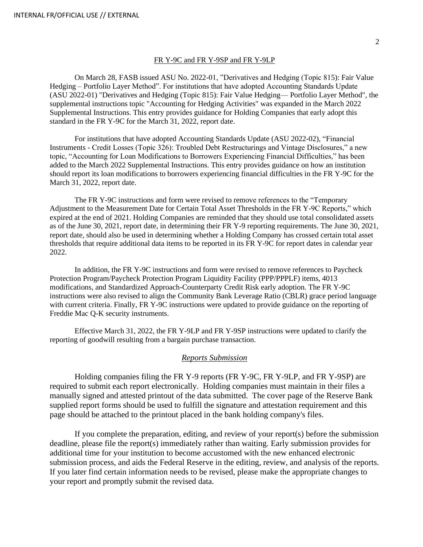#### FR Y-9C and FR Y-9SP and FR Y-9LP

On March 28, FASB issued ASU No. 2022-01, "Derivatives and Hedging (Topic 815): Fair Value Hedging – Portfolio Layer Method". For institutions that have adopted Accounting Standards Update (ASU 2022-01) "Derivatives and Hedging (Topic 815): Fair Value Hedging— Portfolio Layer Method", the supplemental instructions topic "Accounting for Hedging Activities" was expanded in the March 2022 Supplemental Instructions. This entry provides guidance for Holding Companies that early adopt this standard in the FR Y-9C for the March 31, 2022, report date.

For institutions that have adopted Accounting Standards Update (ASU 2022-02), "Financial Instruments - Credit Losses (Topic 326): Troubled Debt Restructurings and Vintage Disclosures," a new topic, "Accounting for Loan Modifications to Borrowers Experiencing Financial Difficulties," has been added to the March 2022 Supplemental Instructions. This entry provides guidance on how an institution should report its loan modifications to borrowers experiencing financial difficulties in the FR Y-9C for the March 31, 2022, report date.

The FR Y-9C instructions and form were revised to remove references to the "Temporary Adjustment to the Measurement Date for Certain Total Asset Thresholds in the FR Y-9C Reports," which expired at the end of 2021. Holding Companies are reminded that they should use total consolidated assets as of the June 30, 2021, report date, in determining their FR Y-9 reporting requirements. The June 30, 2021, report date, should also be used in determining whether a Holding Company has crossed certain total asset thresholds that require additional data items to be reported in its FR Y-9C for report dates in calendar year 2022.

In addition, the FR Y-9C instructions and form were revised to remove references to Paycheck Protection Program/Paycheck Protection Program Liquidity Facility (PPP/PPPLF) items, 4013 modifications, and Standardized Approach-Counterparty Credit Risk early adoption. The FR Y-9C instructions were also revised to align the Community Bank Leverage Ratio (CBLR) grace period language with current criteria. Finally, FR Y-9C instructions were updated to provide guidance on the reporting of Freddie Mac Q-K security instruments.

Effective March 31, 2022, the FR Y-9LP and FR Y-9SP instructions were updated to clarify the reporting of goodwill resulting from a bargain purchase transaction.

#### *Reports Submission*

Holding companies filing the FR Y-9 reports (FR Y-9C, FR Y-9LP, and FR Y-9SP) are required to submit each report electronically. Holding companies must maintain in their files a manually signed and attested printout of the data submitted. The cover page of the Reserve Bank supplied report forms should be used to fulfill the signature and attestation requirement and this page should be attached to the printout placed in the bank holding company's files.

If you complete the preparation, editing, and review of your report(s) before the submission deadline, please file the report(s) immediately rather than waiting. Early submission provides for additional time for your institution to become accustomed with the new enhanced electronic submission process, and aids the Federal Reserve in the editing, review, and analysis of the reports. If you later find certain information needs to be revised, please make the appropriate changes to your report and promptly submit the revised data.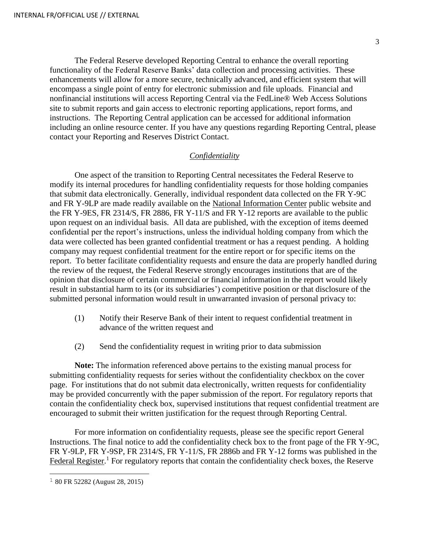The Federal Reserve developed Reporting Central to enhance the overall reporting functionality of the Federal Reserve Banks' data collection and processing activities. These enhancements will allow for a more secure, technically advanced, and efficient system that will encompass a single point of entry for electronic submission and file uploads. Financial and nonfinancial institutions will access Reporting Central via the FedLine® Web Access Solutions site to submit reports and gain access to electronic reporting applications, report forms, and instructions. The [Reporting Central application](https://www.frbservices.org/central-bank/reporting-central/) can be accessed for additional information including an online resource center. If you have any questions regarding Reporting Central, please contact your Reporting and Reserves District Contact.

## *Confidentiality*

One aspect of the transition to Reporting Central necessitates the Federal Reserve to modify its internal procedures for handling confidentiality requests for those holding companies that submit data electronically. Generally, individual respondent data collected on the FR Y-9C and FR Y-9LP are made readily available on the [National Information Center](https://www.ffiec.gov/NPW) public website and the FR Y-9ES, FR 2314/S, FR 2886, FR Y-11/S and FR Y-12 reports are available to the public upon request on an individual basis. All data are published, with the exception of items deemed confidential per the report's instructions, unless the individual holding company from which the data were collected has been granted confidential treatment or has a request pending. A holding company may request confidential treatment for the entire report or for specific items on the report. To better facilitate confidentiality requests and ensure the data are properly handled during the review of the request, the Federal Reserve strongly encourages institutions that are of the opinion that disclosure of certain commercial or financial information in the report would likely result in substantial harm to its (or its subsidiaries') competitive position or that disclosure of the submitted personal information would result in unwarranted invasion of personal privacy to:

- (1) Notify their Reserve Bank of their intent to request confidential treatment in advance of the written request and
- (2) Send the confidentiality request in writing prior to data submission

**Note:** The information referenced above pertains to the existing manual process for submitting confidentiality requests for series without the confidentiality checkbox on the cover page. For institutions that do not submit data electronically, written requests for confidentiality may be provided concurrently with the paper submission of the report. For regulatory reports that contain the confidentiality check box, supervised institutions that request confidential treatment are encouraged to submit their written justification for the request through Reporting Central.

For more information on confidentiality requests, please see the specific report General Instructions. The final notice to add the confidentiality check box to the front page of the FR Y-9C, FR Y-9LP, FR Y-9SP, FR 2314/S, FR Y-11/S, FR 2886b and FR Y-12 forms was published in the [Federal Register.](http://www.gpo.gov/fdsys/pkg/FR-2015-08-28/pdf/2015-21367.pdf)<sup>1</sup> For regulatory reports that contain the confidentiality check boxes, the Reserve

<sup>1</sup> 80 FR 52282 (August 28, 2015)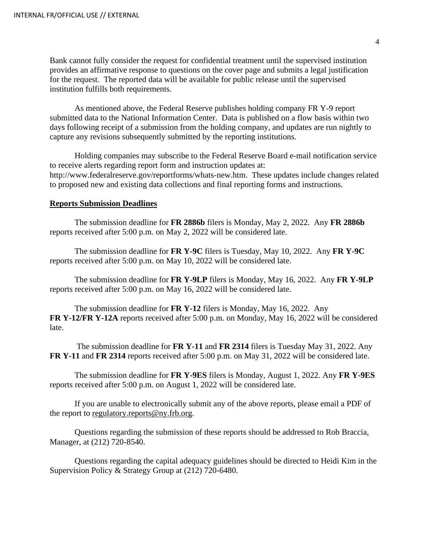Bank cannot fully consider the request for confidential treatment until the supervised institution provides an affirmative response to questions on the cover page and submits a legal justification for the request. The reported data will be available for public release until the supervised institution fulfills both requirements.

As mentioned above, the Federal Reserve publishes holding company FR Y-9 report submitted data to the [National Information Center.](https://www.ffiec.gov/NPW) Data is published on a flow basis within two days following receipt of a submission from the holding company, and updates are run nightly to capture any revisions subsequently submitted by the reporting institutions.

Holding companies may subscribe to the Federal Reserve Board e-mail notification service to receive alerts regarding report form and instruction updates at: [http://www.federalreserve.gov/reportforms/whats-new.htm.](http://www.federalreserve.gov/reportforms/whats-new.htm) These updates include changes related to proposed new and existing data collections and final reporting forms and instructions.

## **Reports Submission Deadlines**

The submission deadline for **FR 2886b** filers is Monday, May 2, 2022. Any **FR 2886b** reports received after 5:00 p.m. on May 2, 2022 will be considered late.

The submission deadline for **FR Y-9C** filers is Tuesday, May 10, 2022. Any **FR Y-9C** reports received after 5:00 p.m. on May 10, 2022 will be considered late.

The submission deadline for **FR Y-9LP** filers is Monday, May 16, 2022. Any **FR Y-9LP** reports received after 5:00 p.m. on May 16, 2022 will be considered late.

The submission deadline for **FR Y-12** filers is Monday, May 16, 2022. Any **FR Y-12/FR Y-12A** reports received after 5:00 p.m. on Monday, May 16, 2022 will be considered late.

The submission deadline for **FR Y-11** and **FR 2314** filers is Tuesday May 31, 2022. Any **FR Y-11** and **FR 2314** reports received after 5:00 p.m. on May 31, 2022 will be considered late.

The submission deadline for **FR Y-9ES** filers is Monday, August 1, 2022. Any **FR Y-9ES**  reports received after 5:00 p.m. on August 1, 2022 will be considered late.

If you are unable to electronically submit any of the above reports, please email a PDF of the report to [regulatory.reports@ny.frb.org.](mailto:regulatory.reports@ny.frb.org)

Questions regarding the submission of these reports should be addressed to Rob Braccia, Manager, at (212) 720-8540.

Questions regarding the capital adequacy guidelines should be directed to Heidi Kim in the Supervision Policy & Strategy Group at (212) 720-6480.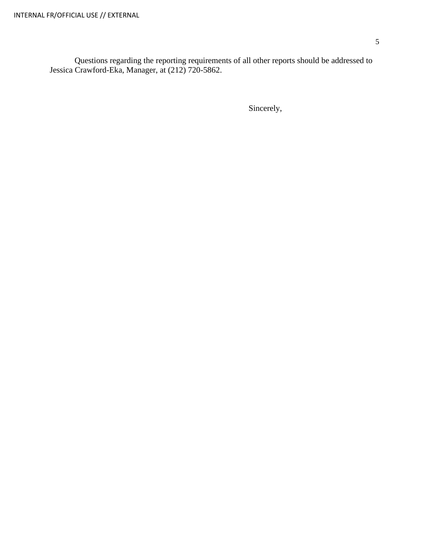Questions regarding the reporting requirements of all other reports should be addressed to Jessica Crawford-Eka, Manager, at (212) 720-5862.

Sincerely,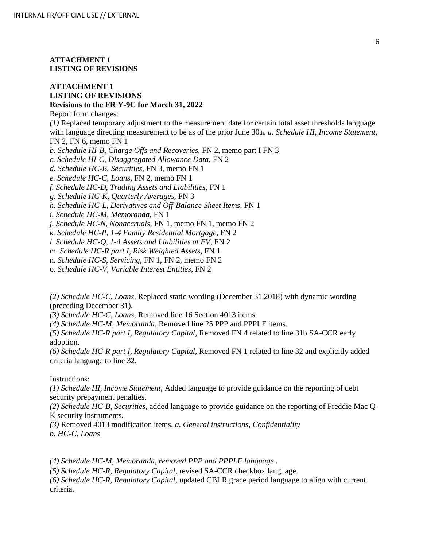**ATTACHMENT 1 LISTING OF REVISIONS**

### **ATTACHMENT 1 LISTING OF REVISIONS Revisions to the FR Y-9C for March 31, 2022**

Report form changes:

*(1)* Replaced temporary adjustment to the measurement date for certain total asset thresholds language with language directing measurement to be as of the prior June 30th. *a. Schedule HI, Income Statement,* FN 2, FN 6, memo FN 1

*b. Schedule HI-B, Charge Offs and Recoveries,* FN 2, memo part I FN 3

*c. Schedule HI-C, Disaggregated Allowance Data,* FN 2

*d. Schedule HC-B, Securities,* FN 3, memo FN 1

*e. Schedule HC-C, Loans,* FN 2, memo FN 1

*f. Schedule HC-D, Trading Assets and Liabilities,* FN 1

*g. Schedule HC-K, Quarterly Averages,* FN 3

*h. Schedule HC-L, Derivatives and Off-Balance Sheet Items,* FN 1

*i. Schedule HC-M, Memoranda,* FN 1

*j. Schedule HC-N, Nonaccruals,* FN 1, memo FN 1, memo FN 2

*k. Schedule HC-P, 1-4 Family Residential Mortgage,* FN 2

*l. Schedule HC-Q, 1-4 Assets and Liabilities at FV,* FN 2

m. *Schedule HC-R part I, Risk Weighted Assets,* FN 1

n. *Schedule HC-S, Servicing,* FN 1, FN 2, memo FN 2

o. *Schedule HC-V, Variable Interest Entities,* FN 2

*(2) Schedule HC-C, Loans,* Replaced static wording (December 31,2018) with dynamic wording (preceding December 31).

*(3) Schedule HC-C, Loans,* Removed line 16 Section 4013 items.

*(4) Schedule HC-M, Memoranda,* Removed line 25 PPP and PPPLF items.

*(5) Schedule HC-R part I, Regulatory Capital,* Removed FN 4 related to line 31b SA-CCR early adoption.

*(6) Schedule HC-R part I, Regulatory Capital,* Removed FN 1 related to line 32 and explicitly added criteria language to line 32.

### Instructions:

*(1) Schedule HI, Income Statement,* Added language to provide guidance on the reporting of debt security prepayment penalties.

*(2) Schedule HC-B, Securities,* added language to provide guidance on the reporting of Freddie Mac Q-K security instruments.

*(3)* Removed 4013 modification items. *a. General instructions, Confidentiality b. HC-C, Loans* 

*(4) Schedule HC-M, Memoranda, removed PPP and PPPLF language.* 

*(5) Schedule HC-R, Regulatory Capital,* revised SA-CCR checkbox language.

*(6) Schedule HC-R, Regulatory Capital,* updated CBLR grace period language to align with current criteria.